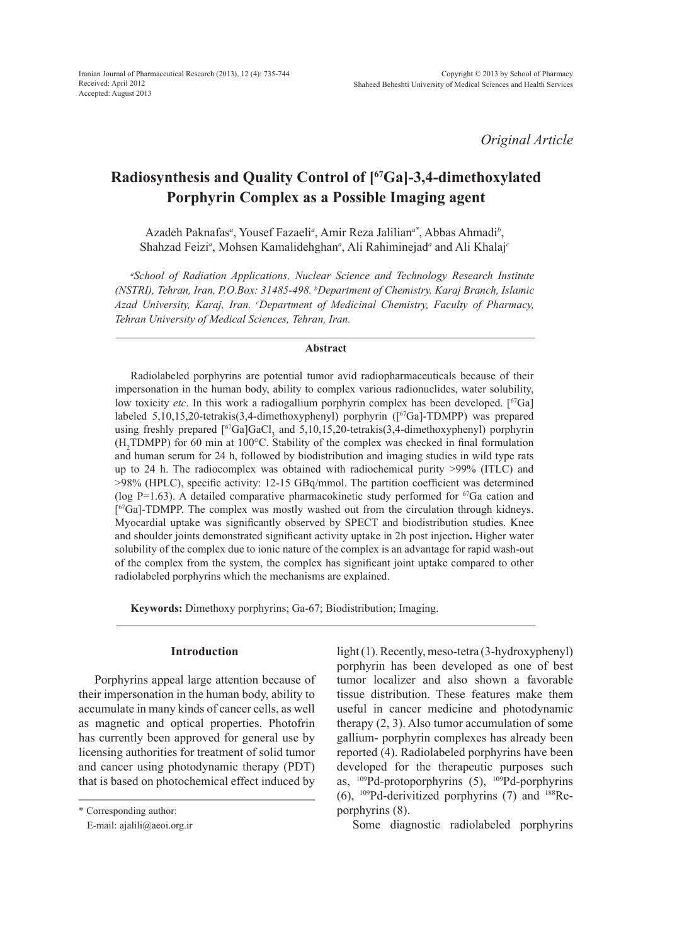*Original Article*

# **Radiosynthesis and Quality Control of [67Ga]-3,4-dimethoxylated Porphyrin Complex as a Possible Imaging agent**

Azadeh Paknafas*<sup>a</sup>* , Yousef Fazaeli*<sup>a</sup>* , Amir Reza Jalilian*a\**, Abbas Ahmadi*<sup>b</sup>* , Shahzad Feizi*<sup>a</sup>* , Mohsen Kamalidehghan*<sup>a</sup>* , Ali Rahiminejad*<sup>a</sup>* and Ali Khalaj*<sup>c</sup>*

*a School of Radiation Applications, Nuclear Science and Technology Research Institute (NSTRI), Tehran, Iran, P.O.Box: 31485-498. b Department of Chemistry. Karaj Branch, Islamic Azad University, Karaj, Iran. c Department of Medicinal Chemistry, Faculty of Pharmacy, Tehran University of Medical Sciences, Tehran, Iran.*

### **Abstract**

Radiolabeled porphyrins are potential tumor avid radiopharmaceuticals because of their impersonation in the human body, ability to complex various radionuclides, water solubility, low toxicity *etc*. In this work a radiogallium porphyrin complex has been developed. [<sup>67</sup>Ga] labeled 5,10,15,20-tetrakis(3,4-dimethoxyphenyl) porphyrin ([67Ga]-TDMPP) was prepared using freshly prepared  $[67Ga]GaCl<sub>3</sub>$  and 5,10,15,20-tetrakis(3,4-dimethoxyphenyl) porphyrin (H2 TDMPP) for 60 min at 100°C. Stability of the complex was checked in final formulation and human serum for 24 h, followed by biodistribution and imaging studies in wild type rats up to 24 h. The radiocomplex was obtained with radiochemical purity >99% (ITLC) and >98% (HPLC), specific activity: 12-15 GBq/mmol. The partition coefficient was determined (log P=1.63). A detailed comparative pharmacokinetic study performed for  ${}^{67}Ga$  cation and  $[67\text{Ga}]-\text{TDMPP}$ . The complex was mostly washed out from the circulation through kidneys. Myocardial uptake was significantly observed by SPECT and biodistribution studies. Knee and shoulder joints demonstrated significant activity uptake in 2h post injection**.** Higher water solubility of the complex due to ionic nature of the complex is an advantage for rapid wash-out of the complex from the system, the complex has significant joint uptake compared to other radiolabeled porphyrins which the mechanisms are explained.

**Keywords:** Dimethoxy porphyrins; Ga-67; Biodistribution; Imaging.

### **Introduction**

Porphyrins appeal large attention because of their impersonation in the human body, ability to accumulate in many kinds of cancer cells, as well as magnetic and optical properties. Photofrin has currently been approved for general use by licensing authorities for treatment of solid tumor and cancer using photodynamic therapy (PDT) that is based on photochemical effect induced by

\* Corresponding author:

E-mail: ajalili@aeoi.org.ir

light (1). Recently, meso-tetra (3-hydroxyphenyl) porphyrin has been developed as one of best tumor localizer and also shown a favorable tissue distribution. These features make them useful in cancer medicine and photodynamic therapy (2, 3). Also tumor accumulation of some gallium- porphyrin complexes has already been reported (4). Radiolabeled porphyrins have been developed for the therapeutic purposes such as,  $^{109}Pd$ -protoporphyrins (5),  $^{109}Pd$ -porphyrins (6), 109Pd-derivitized porphyrins (7) and 188Reporphyrins (8).

Some diagnostic radiolabeled porphyrins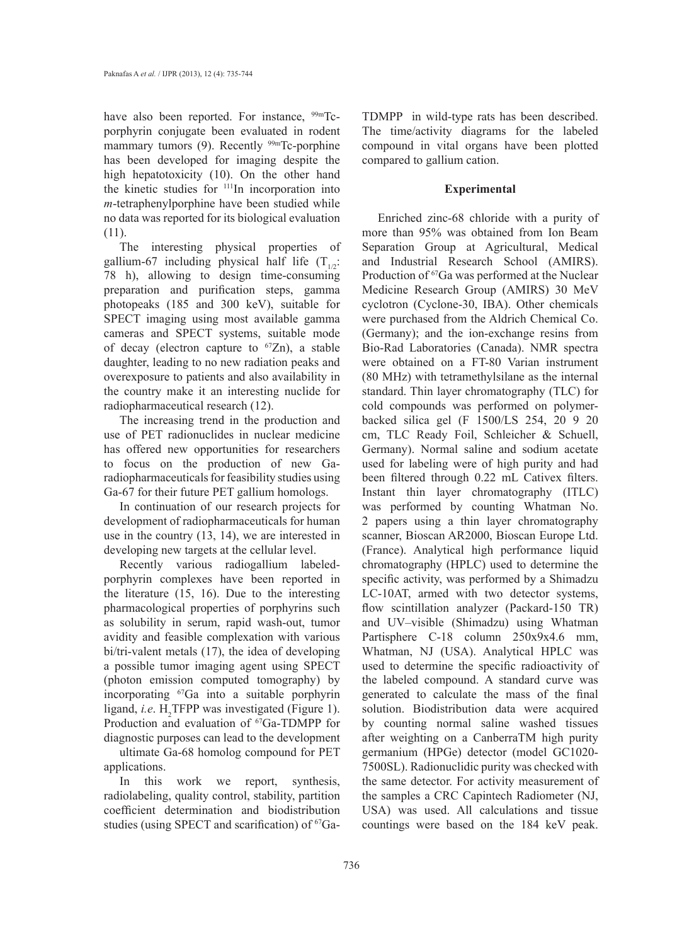have also been reported. For instance, <sup>99m</sup>Tcporphyrin conjugate been evaluated in rodent mammary tumors  $(9)$ . Recently <sup>99m</sup>Tc-porphine has been developed for imaging despite the high hepatotoxicity (10). On the other hand the kinetic studies for 111In incorporation into *m*-tetraphenylporphine have been studied while no data was reported for its biological evaluation (11).

The interesting physical properties of gallium-67 including physical half life  $(T_{1/2})$ : 78 h), allowing to design time-consuming preparation and purification steps, gamma photopeaks (185 and 300 keV), suitable for SPECT imaging using most available gamma cameras and SPECT systems, suitable mode of decay (electron capture to  ${}^{67}Zn$ ), a stable daughter, leading to no new radiation peaks and overexposure to patients and also availability in the country make it an interesting nuclide for radiopharmaceutical research (12).

The increasing trend in the production and use of PET radionuclides in nuclear medicine has offered new opportunities for researchers to focus on the production of new Garadiopharmaceuticals for feasibility studies using Ga-67 for their future PET gallium homologs.

In continuation of our research projects for development of radiopharmaceuticals for human use in the country (13, 14), we are interested in developing new targets at the cellular level.

Recently various radiogallium labeledporphyrin complexes have been reported in the literature (15, 16). Due to the interesting pharmacological properties of porphyrins such as solubility in serum, rapid wash-out, tumor avidity and feasible complexation with various bi/tri-valent metals (17), the idea of developing a possible tumor imaging agent using SPECT (photon emission computed tomography) by incorporating 67Ga into a suitable porphyrin ligand, *i.e.*  $H_2$ TFPP was investigated (Figure 1). Production and evaluation of <sup>67</sup>Ga-TDMPP for diagnostic purposes can lead to the development

ultimate Ga-68 homolog compound for PET applications.

In this work we report, synthesis, radiolabeling, quality control, stability, partition coefficient determination and biodistribution studies (using SPECT and scarification) of <sup>67</sup>GaTDMPP in wild-type rats has been described. The time/activity diagrams for the labeled compound in vital organs have been plotted compared to gallium cation.

# **Experimental**

Enriched zinc-68 chloride with a purity of more than 95% was obtained from Ion Beam Separation Group at Agricultural, Medical and Industrial Research School (AMIRS). Production of <sup>67</sup>Ga was performed at the Nuclear Medicine Research Group (AMIRS) 30 MeV cyclotron (Cyclone-30, IBA). Other chemicals were purchased from the Aldrich Chemical Co. (Germany); and the ion-exchange resins from Bio-Rad Laboratories (Canada). NMR spectra were obtained on a FT-80 Varian instrument (80 MHz) with tetramethylsilane as the internal standard. Thin layer chromatography (TLC) for cold compounds was performed on polymerbacked silica gel (F 1500/LS 254, 20 9 20 cm, TLC Ready Foil, Schleicher & Schuell, Germany). Normal saline and sodium acetate used for labeling were of high purity and had been filtered through 0.22 mL Cativex filters. Instant thin layer chromatography (ITLC) was performed by counting Whatman No. 2 papers using a thin layer chromatography scanner, Bioscan AR2000, Bioscan Europe Ltd. (France). Analytical high performance liquid chromatography (HPLC) used to determine the specific activity, was performed by a Shimadzu LC-10AT, armed with two detector systems, flow scintillation analyzer (Packard-150 TR) and UV–visible (Shimadzu) using Whatman Partisphere C-18 column 250x9x4.6 mm, Whatman, NJ (USA). Analytical HPLC was used to determine the specific radioactivity of the labeled compound. A standard curve was generated to calculate the mass of the final solution. Biodistribution data were acquired by counting normal saline washed tissues after weighting on a CanberraTM high purity germanium (HPGe) detector (model GC1020- 7500SL). Radionuclidic purity was checked with the same detector. For activity measurement of the samples a CRC Capintech Radiometer (NJ, USA) was used. All calculations and tissue countings were based on the 184 keV peak.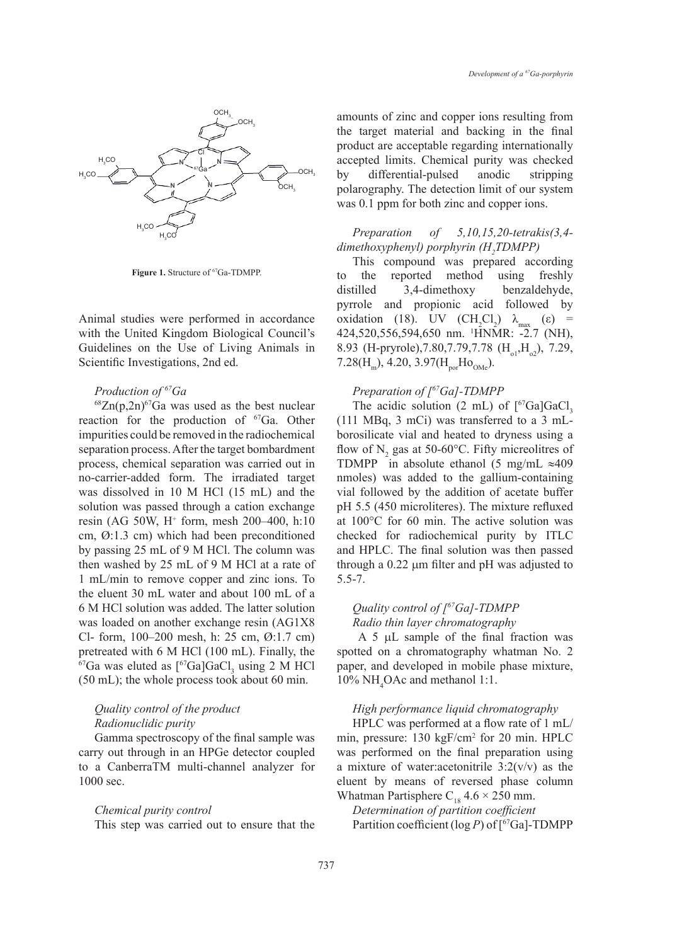

Figure 1. Structure of <sup>67</sup>Ga-TDMPP.

Animal studies were performed in accordance with the United Kingdom Biological Council's Guidelines on the Use of Living Animals in Scientific Investigations, 2nd ed.

### *Production of 67Ga*

 $^{68}Zn(p,2n)^{67}Ga$  was used as the best nuclear reaction for the production of <sup>67</sup>Ga. Other impurities could be removed in the radiochemical separation process. After the target bombardment process, chemical separation was carried out in no-carrier-added form. The irradiated target was dissolved in 10 M HCl (15 mL) and the solution was passed through a cation exchange resin (AG 50W, H+ form, mesh 200–400, h:10 cm, Ø:1.3 cm) which had been preconditioned by passing 25 mL of 9 M HCl. The column was then washed by 25 mL of 9 M HCl at a rate of 1 mL/min to remove copper and zinc ions. To the eluent 30 mL water and about 100 mL of a 6 M HCl solution was added. The latter solution was loaded on another exchange resin (AG1X8 Cl- form, 100–200 mesh, h: 25 cm, Ø:1.7 cm) pretreated with 6 M HCl (100 mL). Finally, the <sup>67</sup>Ga was eluted as  $[$ <sup>67</sup>Ga]GaCl<sub>3</sub> using 2 M HCl (50 mL); the whole process took about 60 min.

# *Quality control of the product Radionuclidic purity*

Gamma spectroscopy of the final sample was carry out through in an HPGe detector coupled to a CanberraTM multi-channel analyzer for 1000 sec.

### *Chemical purity control*

This step was carried out to ensure that the

amounts of zinc and copper ions resulting from the target material and backing in the final product are acceptable regarding internationally accepted limits. Chemical purity was checked by differential-pulsed anodic stripping polarography. The detection limit of our system was 0.1 ppm for both zinc and copper ions.

# *Preparation of 5,10,15,20-tetrakis(3,4 dimethoxyphenyl) porphyrin (H2 TDMPP)*

This compound was prepared according to the reported method using freshly distilled 3,4-dimethoxy benzaldehyde, pyrrole and propionic acid followed by oxidation (18). UV  $(CH_2Cl_2)$  λ<sub>max</sub> (ε) = 424,520,556,594,650 nm. 1 HNMR: -2.7 (NH), 8.93 (H-pryrole), 7.80, 7.79, 7.78 (H<sub>o1</sub>, H<sub>o2</sub>), 7.29, 7.28( $H_m$ ), 4.20, 3.97( $H_{\text{nor}}H_{\text{OMe}}$ ).

### *Preparation of [67Ga]-TDMPP*

The acidic solution  $(2 \text{ mL})$  of  $[{}^{67}\text{Ga} \text{GaCl}_3]$ (111 MBq, 3 mCi) was transferred to a 3 mLborosilicate vial and heated to dryness using a flow of  $N_2$  gas at 50-60°C. Fifty micreolitres of TDMPP in absolute ethanol (5 mg/mL ≈409 nmoles) was added to the gallium-containing vial followed by the addition of acetate buffer pH 5.5 (450 microliteres). The mixture refluxed at 100°C for 60 min. The active solution was checked for radiochemical purity by ITLC and HPLC. The final solution was then passed through a 0.22 µm filter and pH was adjusted to 5.5-7.

# *Quality control of [67Ga]-TDMPP Radio thin layer chromatography*

 A 5 µL sample of the final fraction was spotted on a chromatography whatman No. 2 paper, and developed in mobile phase mixture, 10% NH4 OAc and methanol 1:1.

*High performance liquid chromatography* HPLC was performed at a flow rate of 1 mL/ min, pressure: 130 kgF/cm<sup>2</sup> for 20 min. HPLC was performed on the final preparation using a mixture of water: acetonitrile  $3:2(v/v)$  as the eluent by means of reversed phase column

Whatman Partisphere  $C_{18}$  4.6  $\times$  250 mm. *Determination of partition coefficient* Partition coefficient (log *P*) of  $\lceil {^{67}Ga} \rceil$ -TDMPP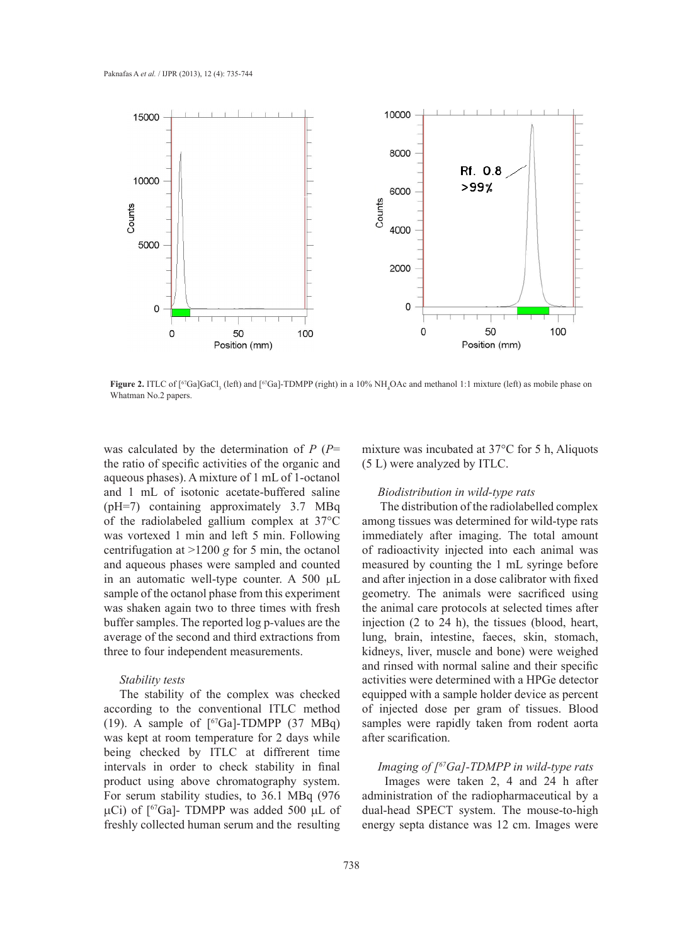

**Figure 2.** ITLC of [<sup>67</sup>Ga]GaCl<sub>3</sub> (left) and [<sup>67</sup>Ga]-TDMPP (right) in a 10% NH<sub>4</sub>OAc and methanol 1:1 mixture (left) as mobile phase on Whatman No.2 papers.

was calculated by the determination of *P* (*P*= the ratio of specific activities of the organic and aqueous phases). A mixture of 1 mL of 1-octanol and 1 mL of isotonic acetate-buffered saline (pH=7) containing approximately 3.7 MBq of the radiolabeled gallium complex at 37°C was vortexed 1 min and left 5 min. Following centrifugation at >1200 *g* for 5 min, the octanol and aqueous phases were sampled and counted in an automatic well-type counter. A 500 µL sample of the octanol phase from this experiment was shaken again two to three times with fresh buffer samples. The reported log p*-*values are the average of the second and third extractions from three to four independent measurements.

### *Stability tests*

The stability of the complex was checked according to the conventional ITLC method (19). A sample of  $\lceil^{67}Ga\rceil$ -TDMPP (37 MBq) was kept at room temperature for 2 days while being checked by ITLC at diffrerent time intervals in order to check stability in final product using above chromatography system. For serum stability studies, to 36.1 MBq (976  $\mu$ Ci) of [<sup>67</sup>Ga]- TDMPP was added 500  $\mu$ L of freshly collected human serum and the resulting mixture was incubated at 37°C for 5 h, Aliquots (5 L) were analyzed by ITLC.

### *Biodistribution in wild-type rats*

The distribution of the radiolabelled complex among tissues was determined for wild-type rats immediately after imaging. The total amount of radioactivity injected into each animal was measured by counting the 1 mL syringe before and after injection in a dose calibrator with fixed geometry. The animals were sacrificed using the animal care protocols at selected times after injection (2 to 24 h), the tissues (blood, heart, lung, brain, intestine, faeces, skin, stomach, kidneys, liver, muscle and bone) were weighed and rinsed with normal saline and their specific activities were determined with a HPGe detector equipped with a sample holder device as percent of injected dose per gram of tissues. Blood samples were rapidly taken from rodent aorta after scarification.

# *Imaging of [67Ga]-TDMPP in wild-type rats*

Images were taken 2, 4 and 24 h after administration of the radiopharmaceutical by a dual-head SPECT system. The mouse-to-high energy septa distance was 12 cm. Images were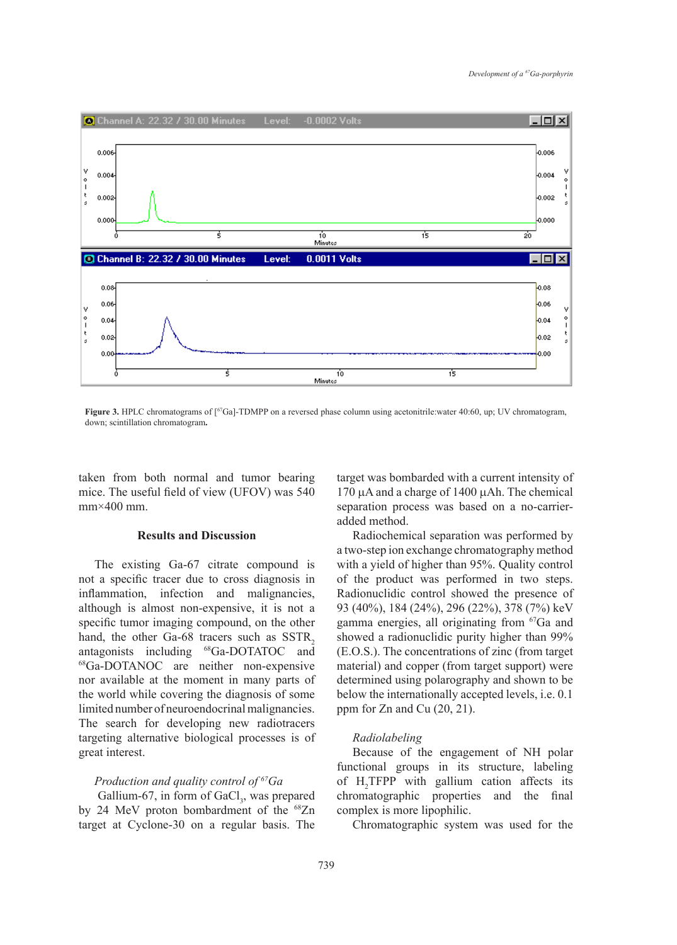

**Figure 3.** HPLC chromatograms of [67Ga]-TDMPP on a reversed phase column using acetonitrile:water 40:60, up; UV chromatogram, down; scintillation chromatogram**.**

taken from both normal and tumor bearing mice. The useful field of view (UFOV) was 540  $mm \times 400$  mm.

# **Results and Discussion**

The existing Ga-67 citrate compound is not a specific tracer due to cross diagnosis in inflammation, infection and malignancies, although is almost non-expensive, it is not a specific tumor imaging compound, on the other hand, the other Ga-68 tracers such as  $SSTR<sub>2</sub>$ antagonists including 68Ga-DOTATOC and <sup>68</sup>Ga-DOTANOC are neither non-expensive nor available at the moment in many parts of the world while covering the diagnosis of some limited number of neuroendocrinal malignancies. The search for developing new radiotracers targeting alternative biological processes is of great interest.

### *Production and quality control of 67Ga*

Gallium-67, in form of  $GaCl<sub>3</sub>$ , was prepared by 24 MeV proton bombardment of the <sup>68</sup>Zn target at Cyclone-30 on a regular basis. The

target was bombarded with a current intensity of 170 µA and a charge of 1400 µAh. The chemical separation process was based on a no-carrieradded method.

Radiochemical separation was performed by a two-step ion exchange chromatography method with a yield of higher than 95%. Quality control of the product was performed in two steps. Radionuclidic control showed the presence of 93 (40%), 184 (24%), 296 (22%), 378 (7%) keV gamma energies, all originating from 67Ga and showed a radionuclidic purity higher than 99% (E.O.S.). The concentrations of zinc (from target material) and copper (from target support) were determined using polarography and shown to be below the internationally accepted levels, i.e. 0.1 ppm for Zn and Cu (20, 21).

### *Radiolabeling*

Because of the engagement of NH polar functional groups in its structure, labeling of  $H_2$ TFPP with gallium cation affects its chromatographic properties and the final complex is more lipophilic.

Chromatographic system was used for the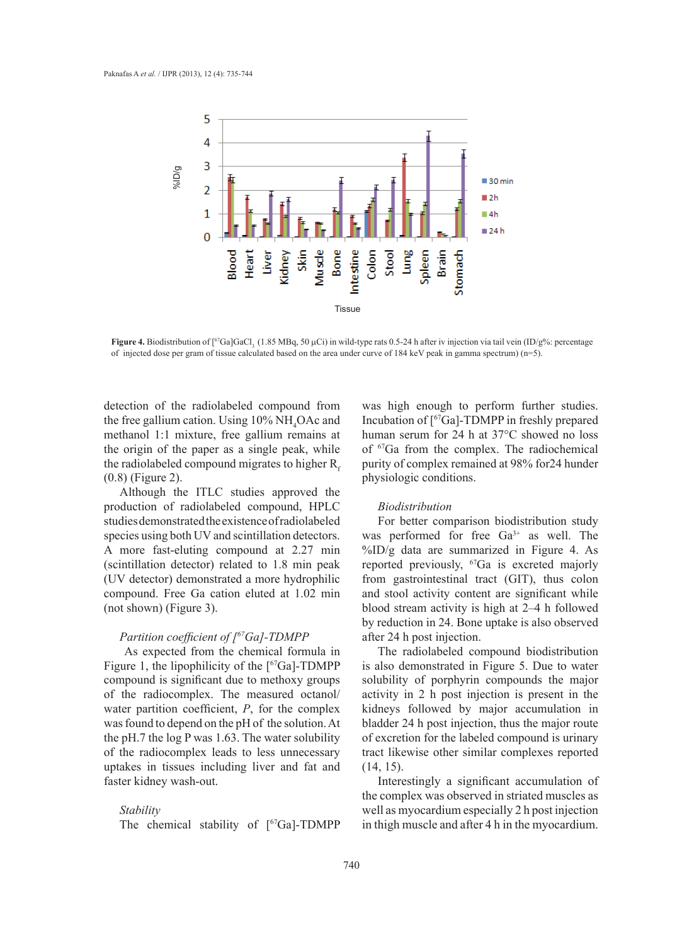

**Figure 4.** Biodistribution of [<sup>67</sup>Ga]GaCl<sub>3</sub> (1.85 MBq, 50 μCi) in wild-type rats 0.5-24 h after iv injection via tail vein (ID/g%: percentage of injected dose per gram of tissue calculated based on the area under curve of 184 keV peak in gamma spectrum) (n=5).

detection of the radiolabeled compound from the free gallium cation. Using  $10\% \text{ NH}_4\text{OAc}$  and methanol 1:1 mixture, free gallium remains at the origin of the paper as a single peak, while the radiolabeled compound migrates to higher  $R<sub>r</sub>$ (0.8) (Figure 2).

Although the ITLC studies approved the production of radiolabeled compound, HPLC studies demonstrated the existence of radiolabeled species using both UV and scintillation detectors. A more fast-eluting compound at 2.27 min (scintillation detector) related to 1.8 min peak (UV detector) demonstrated a more hydrophilic compound. Free Ga cation eluted at 1.02 min (not shown) (Figure 3).

# *Partition coefficient of [67Ga]-TDMPP*

As expected from the chemical formula in Figure 1, the lipophilicity of the [67Ga]-TDMPP compound is significant due to methoxy groups of the radiocomplex. The measured octanol/ water partition coefficient, *P*, for the complex was found to depend on the pH of the solution. At the pH.7 the log P was 1.63. The water solubility of the radiocomplex leads to less unnecessary uptakes in tissues including liver and fat and faster kidney wash-out.

### *Stability*

The chemical stability of  $[67Ga]$ -TDMPP

was high enough to perform further studies. Incubation of [67Ga]-TDMPP in freshly prepared human serum for 24 h at 37°C showed no loss of 67Ga from the complex. The radiochemical purity of complex remained at 98% for24 hunder physiologic conditions.

#### *Biodistribution*

For better comparison biodistribution study was performed for free Ga<sup>3+</sup> as well. The %ID/g data are summarized in Figure 4. As reported previously, 67Ga is excreted majorly from gastrointestinal tract (GIT), thus colon and stool activity content are significant while blood stream activity is high at 2–4 h followed by reduction in 24. Bone uptake is also observed after 24 h post injection.

The radiolabeled compound biodistribution is also demonstrated in Figure 5. Due to water solubility of porphyrin compounds the major activity in 2 h post injection is present in the kidneys followed by major accumulation in bladder 24 h post injection, thus the major route of excretion for the labeled compound is urinary tract likewise other similar complexes reported (14, 15).

Interestingly a significant accumulation of the complex was observed in striated muscles as well as myocardium especially 2 h post injection in thigh muscle and after 4 h in the myocardium.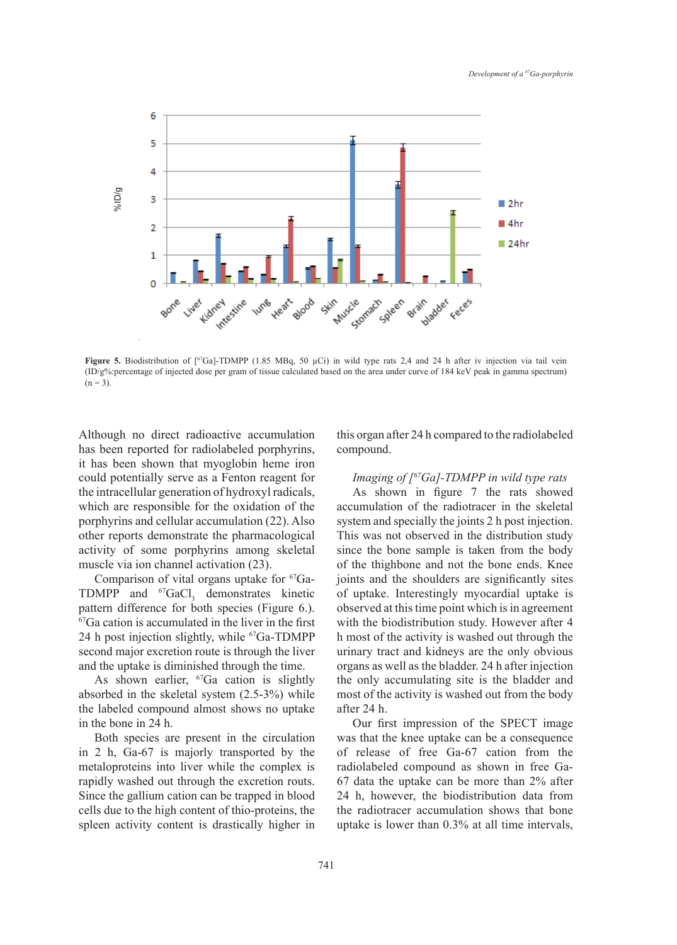

**Figure 5.** Biodistribution of [<sup>67</sup>Ga]-TDMPP (1.85 MBq, 50 µCi) in wild type rats 2,4 and 24 h after iv injection via tail vein  $(ID/g\%)$ : percentage of injected dose per gram of tissue calculated based on the area under curve of 184 keV peak in gamma spectrum)  $(n = 3)$ .

Although no direct radioactive accumulation has been reported for radiolabeled porphyrins, it has been shown that myoglobin heme iron could potentially serve as a Fenton reagent for the intracellular generation of hydroxyl radicals, which are responsible for the oxidation of the porphyrins and cellular accumulation (22). Also other reports demonstrate the pharmacological activity of some porphyrins among skeletal muscle via ion channel activation (23).

Comparison of vital organs uptake for 67Ga-TDMPP and  ${}^{67}GaCl_3$  demonstrates kinetic pattern difference for both species (Figure 6.). <sup>67</sup>Ga cation is accumulated in the liver in the first 24 h post injection slightly, while  ${}^{67}Ga$ -TDMPP second major excretion route is through the liver and the uptake is diminished through the time.

As shown earlier, <sup>67</sup>Ga cation is slightly absorbed in the skeletal system (2.5-3%) while the labeled compound almost shows no uptake in the bone in 24 h.

Both species are present in the circulation in 2 h, Ga-67 is majorly transported by the metaloproteins into liver while the complex is rapidly washed out through the excretion routs. Since the gallium cation can be trapped in blood cells due to the high content of thio-proteins, the spleen activity content is drastically higher in this organ after 24 h compared to the radiolabeled compound.

*Imaging of [67Ga]-TDMPP in wild type rats* As shown in figure 7 the rats showed accumulation of the radiotracer in the skeletal system and specially the joints 2 h post injection. This was not observed in the distribution study since the bone sample is taken from the body of the thighbone and not the bone ends. Knee joints and the shoulders are significantly sites of uptake. Interestingly myocardial uptake is observed at this time point which is in agreement with the biodistribution study. However after 4 h most of the activity is washed out through the urinary tract and kidneys are the only obvious organs as well as the bladder. 24 h after injection the only accumulating site is the bladder and most of the activity is washed out from the body after 24 h.

Our first impression of the SPECT image was that the knee uptake can be a consequence of release of free Ga-67 cation from the radiolabeled compound as shown in free Ga-67 data the uptake can be more than 2% after 24 h, however, the biodistribution data from the radiotracer accumulation shows that bone uptake is lower than 0.3% at all time intervals,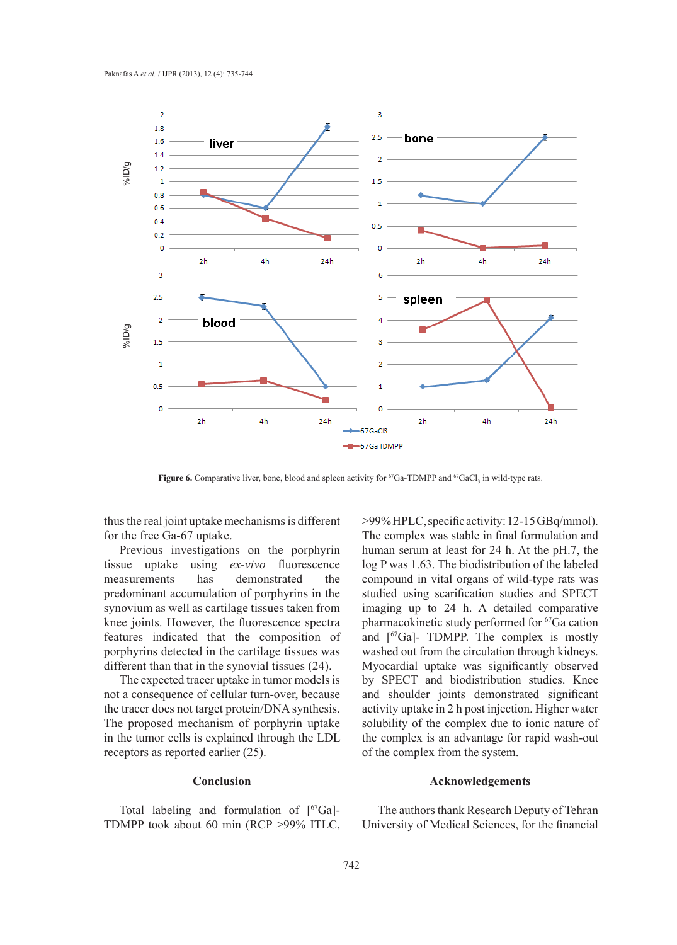

**Figure 6.** Comparative liver, bone, blood and spleen activity for <sup>67</sup>Ga-TDMPP and <sup>67</sup>GaCl<sub>3</sub> in wild-type rats.

thus the real joint uptake mechanisms is different for the free Ga-67 uptake.

Previous investigations on the porphyrin tissue uptake using *ex-vivo* fluorescence measurements has demonstrated the predominant accumulation of porphyrins in the synovium as well as cartilage tissues taken from knee joints. However, the fluorescence spectra features indicated that the composition of porphyrins detected in the cartilage tissues was different than that in the synovial tissues (24).

The expected tracer uptake in tumor models is not a consequence of cellular turn-over, because the tracer does not target protein/DNA synthesis. The proposed mechanism of porphyrin uptake in the tumor cells is explained through the LDL receptors as reported earlier (25).

### **Conclusion**

Total labeling and formulation of [67Ga]- TDMPP took about 60 min (RCP >99% ITLC, >99% HPLC, specific activity: 12-15 GBq/mmol). The complex was stable in final formulation and human serum at least for 24 h. At the pH.7, the log P was 1.63. The biodistribution of the labeled compound in vital organs of wild-type rats was studied using scarification studies and SPECT imaging up to 24 h. A detailed comparative pharmacokinetic study performed for 67Ga cation and [67Ga]- TDMPP. The complex is mostly washed out from the circulation through kidneys. Myocardial uptake was significantly observed by SPECT and biodistribution studies. Knee and shoulder joints demonstrated significant activity uptake in 2 h post injection. Higher water solubility of the complex due to ionic nature of the complex is an advantage for rapid wash-out of the complex from the system.

### **Acknowledgements**

The authors thank Research Deputy of Tehran University of Medical Sciences, for the financial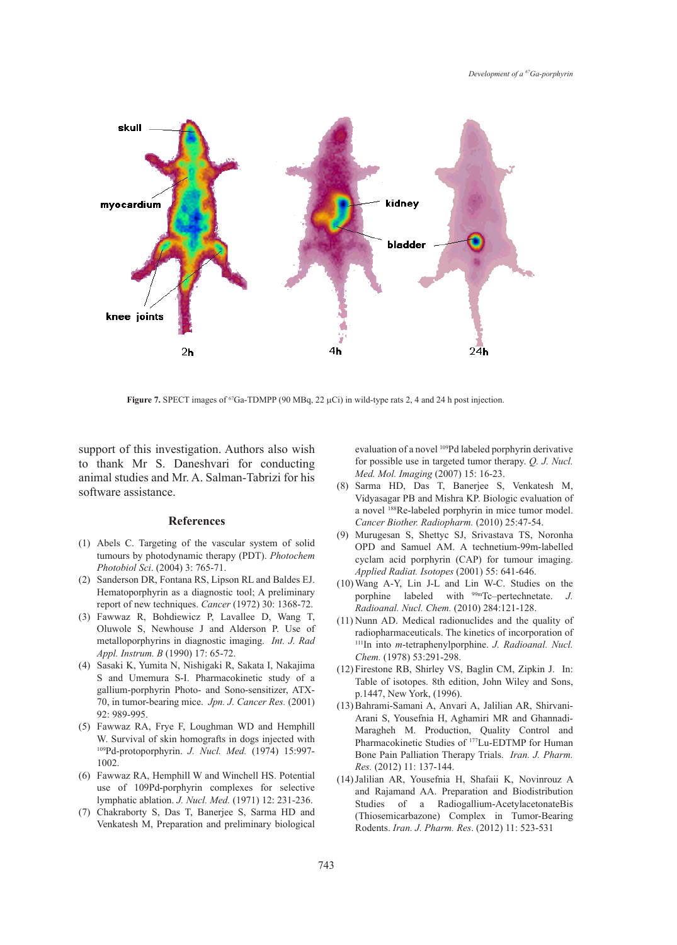

**Figure 7.** SPECT images of  ${}^{67}Ga$ -TDMPP (90 MBq, 22  $\mu$ Ci) in wild-type rats 2, 4 and 24 h post injection.

support of this investigation. Authors also wish to thank Mr S. Daneshvari for conducting animal studies and Mr. A. Salman-Tabrizi for his software assistance.

### **References**

- Abels C. Targeting of the vascular system of solid (1) tumours by photodynamic therapy (PDT). *Photochem Photobiol Sci*. (2004) 3: 765-71.
- (2) Sanderson DR, Fontana RS, Lipson RL and Baldes EJ. Hematoporphyrin as a diagnostic tool; A preliminary report of new techniques. *Cancer* (1972) 30: 1368-72.
- Fawwaz R, Bohdiewicz P, Lavallee D, Wang T, (3) Oluwole S, Newhouse J and Alderson P. Use of metalloporphyrins in diagnostic imaging. *Int. J. Rad Appl. Instrum. B* (1990) 17: 65-72.
- Sasaki K, Yumita N, Nishigaki R, Sakata I, Nakajima (4) S and Umemura S-I. Pharmacokinetic study of a gallium-porphyrin Photo- and Sono-sensitizer, ATX-70, in tumor-bearing mice. *Jpn. J. Cancer Res.* (2001) 92: 989-995.
- Fawwaz RA, Frye F, Loughman WD and Hemphill (5) W. Survival of skin homografts in dogs injected with 109Pd-protoporphyrin. *J. Nucl. Med.* (1974) 15:997- 1002.
- Fawwaz RA, Hemphill W and Winchell HS. Potential (6) use of 109Pd-porphyrin complexes for selective lymphatic ablation. *J. Nucl. Med.* (1971) 12: 231-236.
- Chakraborty S, Das T, Banerjee S, Sarma HD and (7) Venkatesh M, Preparation and preliminary biological

evaluation of a novel 109Pd labeled porphyrin derivative for possible use in targeted tumor therapy. *Q. J. Nucl. Med. Mol. Imaging* (2007) 15: 16-23.

- Sarma HD, Das T, Banerjee S, Venkatesh M, (8) Vidyasagar PB and Mishra KP. Biologic evaluation of a novel 188Re-labeled porphyrin in mice tumor model. *Cancer Biother. Radiopharm.* (2010) 25:47-54.
- Murugesan S, Shettyc SJ, Srivastava TS, Noronha (9) OPD and Samuel AM. A technetium-99m-labelled cyclam acid porphyrin (CAP) for tumour imaging. *Applied Radiat. Isotopes* (2001) 55: 641-646.
- Wang A-Y, Lin J-L and Lin W-C. Studies on the (10) porphine labeled with 99mTc–pertechnetate. *J. Radioanal. Nucl. Chem.* (2010) 284:121-128.
- $(11)$  Nunn AD. Medical radionuclides and the quality of radiopharmaceuticals. The kinetics of incorporation of 111In into *m*-tetraphenylporphine. *J. Radioanal. Nucl. Chem.* (1978) 53:291-298.
- (12) Firestone RB, Shirley VS, Baglin CM, Zipkin J. In: Table of isotopes. 8th edition, John Wiley and Sons, p.1447, New York, (1996).
- Bahrami-Samani A, Anvari A, Jalilian AR, Shirvani-(13) Arani S, Yousefnia H, Aghamiri MR and Ghannadi-Maragheh M. Production, Quality Control and Pharmacokinetic Studies of 177Lu-EDTMP for Human Bone Pain Palliation Therapy Trials. *Iran. J. Pharm. Res.* (2012) 11: 137-144.
- (14) Jalilian AR, Yousefnia H, Shafaii K, Novinrouz A and Rajamand AA. Preparation and Biodistribution Studies of a Radiogallium-AcetylacetonateBis (Thiosemicarbazone) Complex in Tumor-Bearing Rodents. *Iran. J. Pharm. Res*. (2012) 11: 523-531